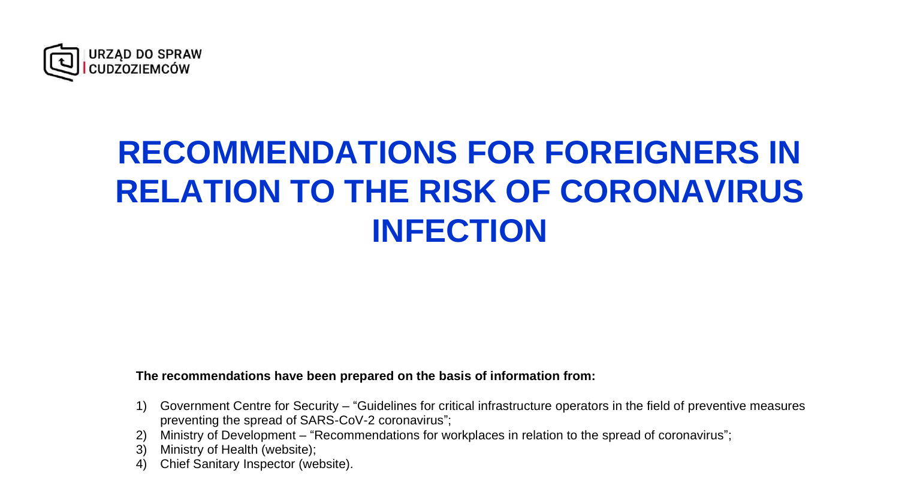

## **RECOMMENDATIONS FOR FOREIGNERS IN RELATION TO THE RISK OF CORONAVIRUS INFECTION**

#### **The recommendations have been prepared on the basis of information from:**

- 1) Government Centre for Security "Guidelines for critical infrastructure operators in the field of preventive measures preventing the spread of SARS-CoV-2 coronavirus";
- 2) Ministry of Development "Recommendations for workplaces in relation to the spread of coronavirus";
- 3) Ministry of Health (website);
- 4) Chief Sanitary Inspector (website).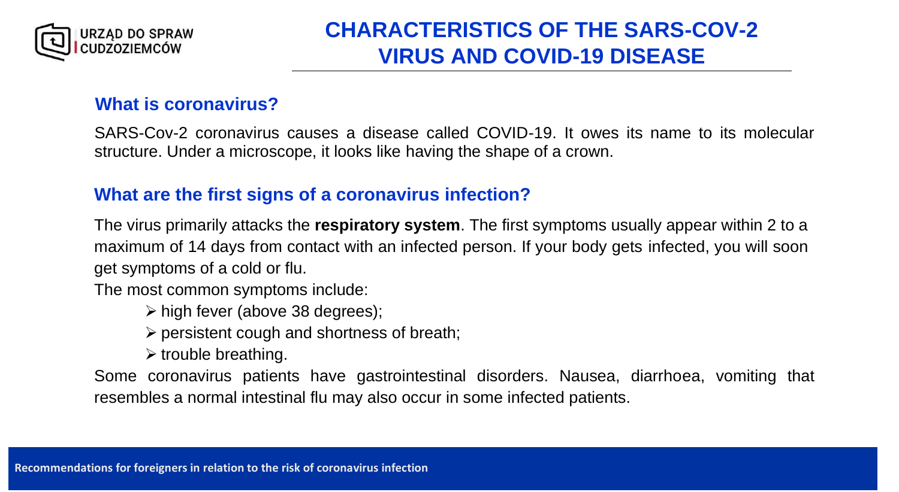

### **CHARACTERISTICS OF THE SARS-COV-2 VIRUS AND COVID-19 DISEASE**

#### **What is coronavirus?**

SARS-Cov-2 coronavirus causes a disease called COVID-19. It owes its name to its molecular structure. Under a microscope, it looks like having the shape of a crown.

#### **What are the first signs of a coronavirus infection?**

The virus primarily attacks the **respiratory system**. The first symptoms usually appear within 2 to a maximum of 14 days from contact with an infected person. If your body gets infected, you will soon get symptoms of a cold or flu.

The most common symptoms include:

➢ high fever (above 38 degrees);

 $\triangleright$  persistent cough and shortness of breath;

 $\triangleright$  trouble breathing.

Some coronavirus patients have gastrointestinal disorders. Nausea, diarrhoea, vomiting that resembles a normal intestinal flu may also occur in some infected patients.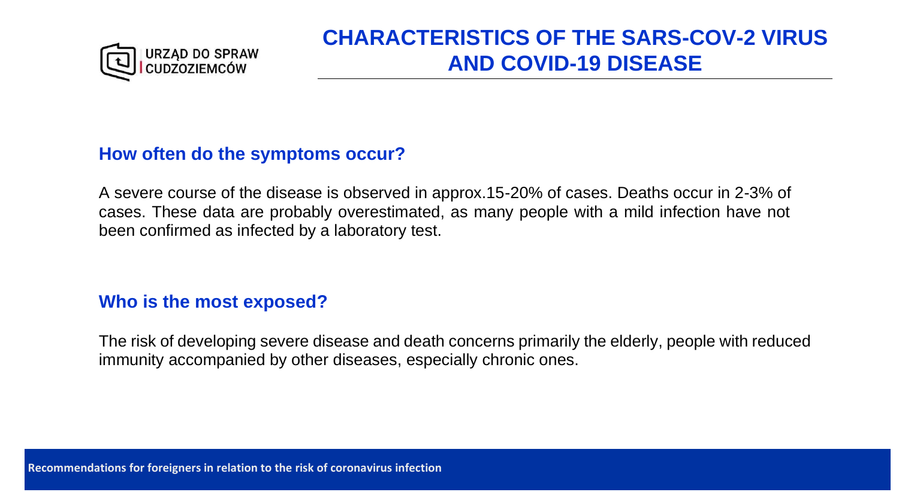

### **CHARACTERISTICS OF THE SARS-COV-2 VIRUS AND COVID-19 DISEASE**

#### **How often do the symptoms occur?**

A severe course of the disease is observed in approx.15-20% of cases. Deaths occur in 2-3% of cases. These data are probably overestimated, as many people with a mild infection have not been confirmed as infected by a laboratory test.

#### **Who is the most exposed?**

The risk of developing severe disease and death concerns primarily the elderly, people with reduced immunity accompanied by other diseases, especially chronic ones.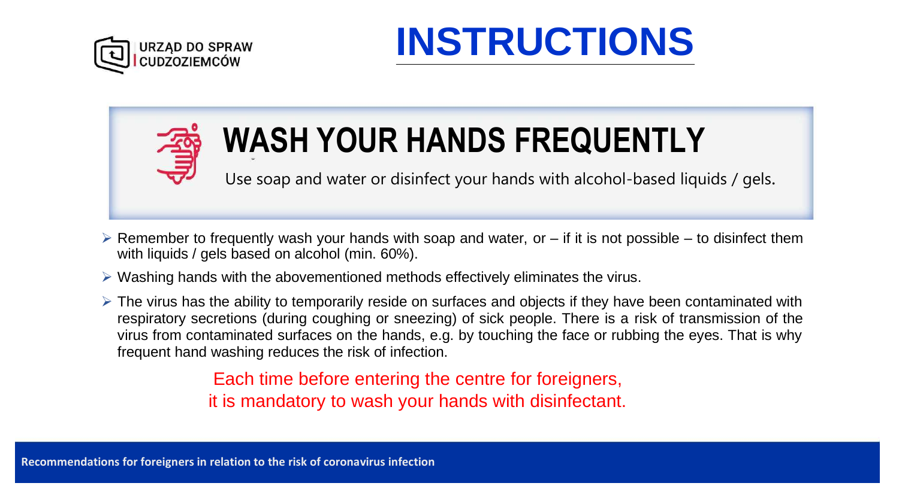





# **WASH YOUR HANDS FREQUENTLY**

Use soap and water or disinfect your hands with alcohol-based liquids / gels.

- $\triangleright$  Remember to frequently wash your hands with soap and water, or if it is not possible to disinfect them with liquids / gels based on alcohol (min. 60%).
- ➢ Washing hands with the abovementioned methods effectively eliminates the virus.
- ➢ The virus has the ability to temporarily reside on surfaces and objects if they have been contaminated with respiratory secretions (during coughing or sneezing) of sick people. There is a risk of transmission of the virus from contaminated surfaces on the hands, e.g. by touching the face or rubbing the eyes. That is why frequent hand washing reduces the risk of infection.

Each time before entering the centre for foreigners, it is mandatory to wash your hands with disinfectant.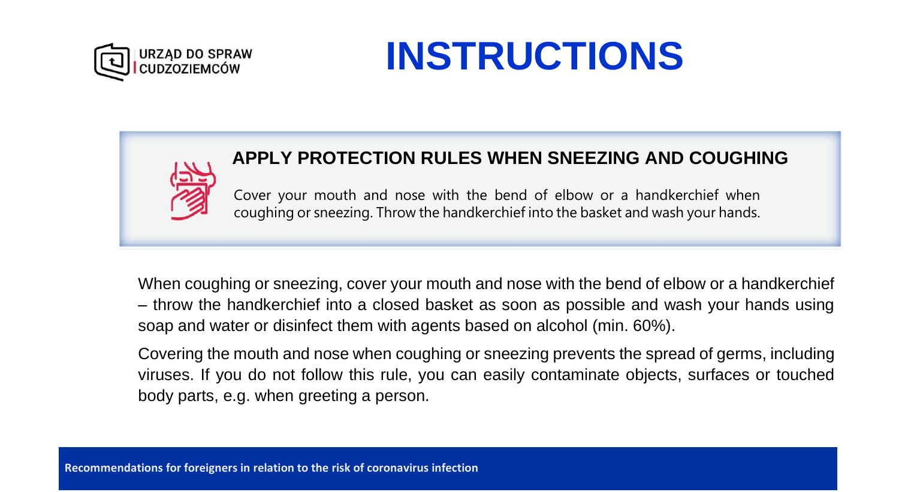

#### **APPLY PROTECTION RULES WHEN SNEEZING AND COUGHING**

Cover your mouth and nose with the bend of elbow or a handkerchief when coughing or sneezing. Throw the handkerchief into the basket and wash your hands.

When coughing or sneezing, cover your mouth and nose with the bend of elbow or a handkerchief – throw the handkerchief into a closed basket as soon as possible and wash your hands using soap and water or disinfect them with agents based on alcohol (min. 60%).

Covering the mouth and nose when coughing or sneezing prevents the spread of germs, including viruses. If you do not follow this rule, you can easily contaminate objects, surfaces or touched body parts, e.g. when greeting a person.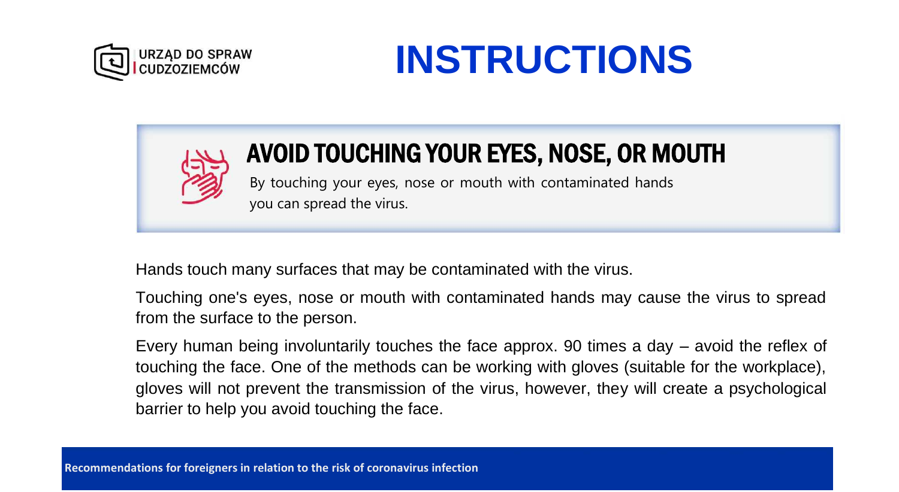





### AVOID TOUCHING YOUR EYES, NOSE, OR MOUTH

By touching your eyes, nose or mouth with contaminated hands you can spread the virus.

Hands touch many surfaces that may be contaminated with the virus.

Touching one's eyes, nose or mouth with contaminated hands may cause the virus to spread from the surface to the person.

Every human being involuntarily touches the face approx. 90 times a day – avoid the reflex of touching the face. One of the methods can be working with gloves (suitable for the workplace), gloves will not prevent the transmission of the virus, however, they will create a psychological barrier to help you avoid touching the face.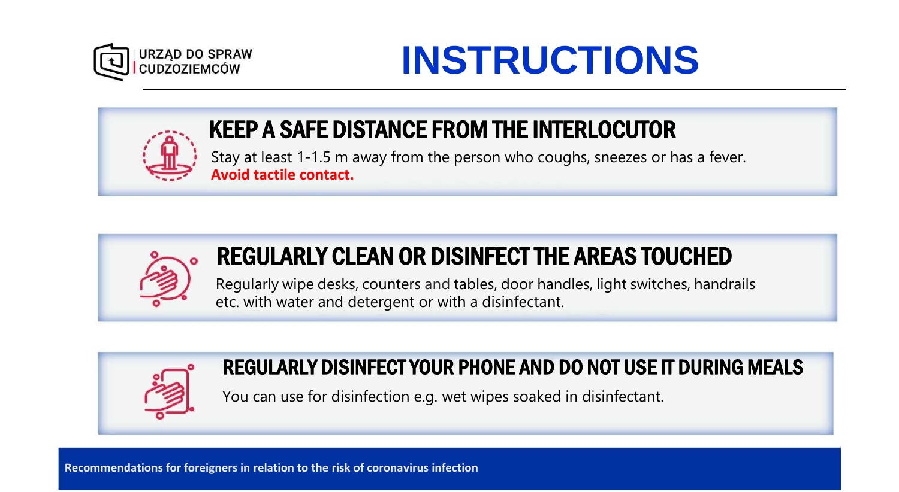



### KEEP A SAFE DISTANCE FROM THE INTERLOCUTOR

Stay at least 1-1.5 m away from the person who coughs, sneezes or has a fever. **Avoid tactile contact.**



### REGULARLY CLEAN OR DISINFECT THE AREAS TOUCHED

Regularly wipe desks, counters and tables, door handles, light switches, handrails etc. with water and detergent or with a disinfectant.



### REGULARLY DISINFECT YOUR PHONE AND DO NOT USE IT DURING MEALS

You can use for disinfection e.g. wet wipes soaked in disinfectant.

**Recommendations for foreigners in relation to the risk of coronavirus infection**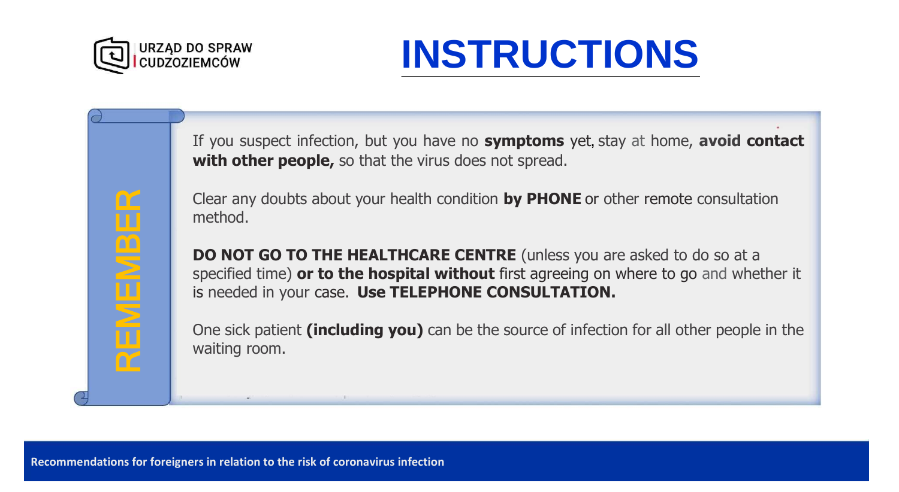

REMEMBER REMEMBE

If you suspect infection, but you have no **symptoms** yet**,** stay at home, **avoid contact with other people,** so that the virus does not spread.

Clear any doubts about your health condition **by PHONE** or other remote consultation method.

**DO NOT GO TO THE HEALTHCARE CENTRE** (unless you are asked to do so at a specified time) **or to the hospital without** first agreeing on where to go and whether it is needed in your case. **Use TELEPHONE CONSULTATION.**

One sick patient **(including you)** can be the source of infection for all other people in the waiting room.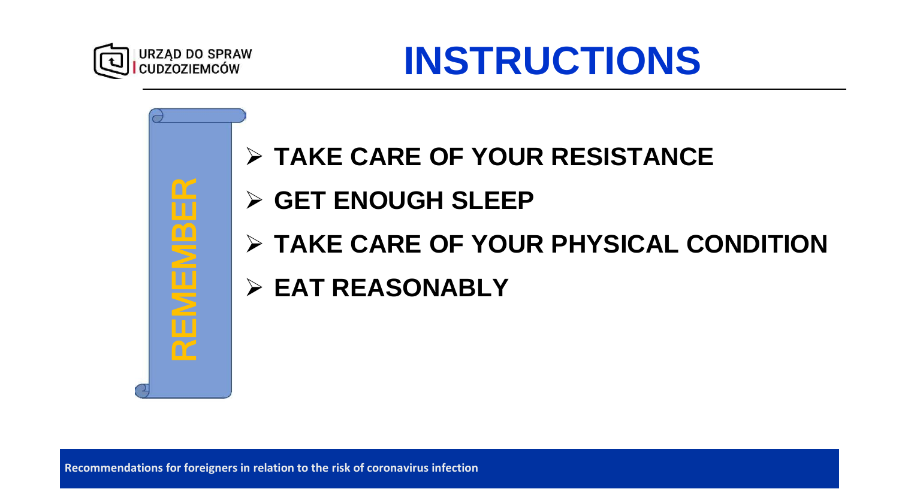

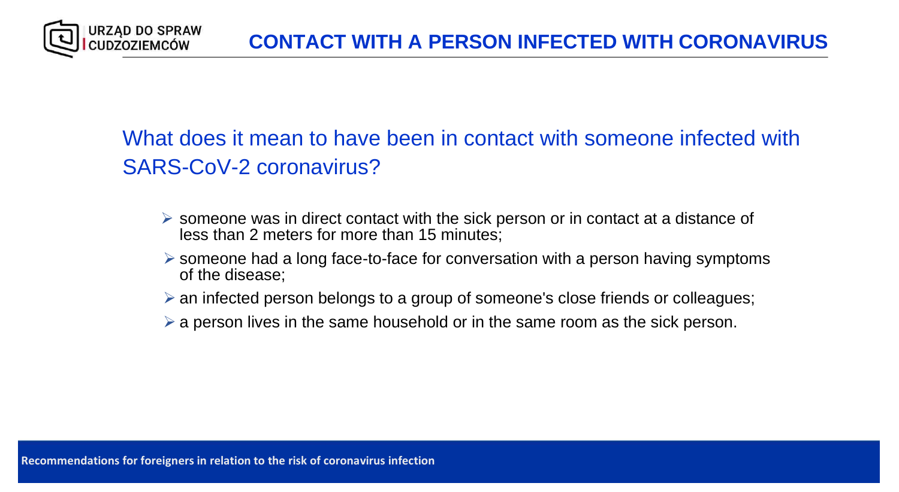What does it mean to have been in contact with someone infected with SARS-CoV-2 coronavirus?

- ➢ someone was in direct contact with the sick person or in contact at a distance of less than 2 meters for more than 15 minutes;
- ➢ someone had a long face-to-face for conversation with a person having symptoms of the disease;
- ➢ an infected person belongs to a group of someone's close friends or colleagues;
- $\triangleright$  a person lives in the same household or in the same room as the sick person.

**URZĄD DO SPRAW IUDZOZIEMCÓW**